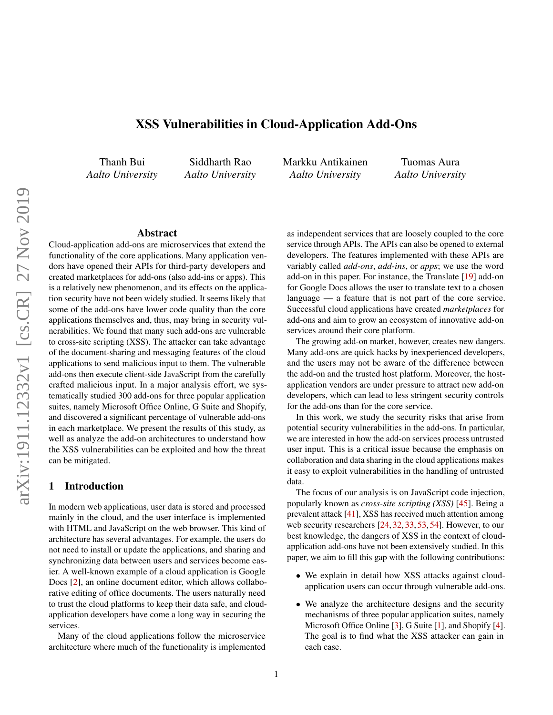# XSS Vulnerabilities in Cloud-Application Add-Ons

Thanh Bui *Aalto University*

Siddharth Rao *Aalto University* Markku Antikainen *Aalto University*

Tuomas Aura *Aalto University*

### Abstract

Cloud-application add-ons are microservices that extend the functionality of the core applications. Many application vendors have opened their APIs for third-party developers and created marketplaces for add-ons (also add-ins or apps). This is a relatively new phenomenon, and its effects on the application security have not been widely studied. It seems likely that some of the add-ons have lower code quality than the core applications themselves and, thus, may bring in security vulnerabilities. We found that many such add-ons are vulnerable to cross-site scripting (XSS). The attacker can take advantage of the document-sharing and messaging features of the cloud applications to send malicious input to them. The vulnerable add-ons then execute client-side JavaScript from the carefully crafted malicious input. In a major analysis effort, we systematically studied 300 add-ons for three popular application suites, namely Microsoft Office Online, G Suite and Shopify, and discovered a significant percentage of vulnerable add-ons in each marketplace. We present the results of this study, as well as analyze the add-on architectures to understand how the XSS vulnerabilities can be exploited and how the threat can be mitigated.

## 1 Introduction

In modern web applications, user data is stored and processed mainly in the cloud, and the user interface is implemented with HTML and JavaScript on the web browser. This kind of architecture has several advantages. For example, the users do not need to install or update the applications, and sharing and synchronizing data between users and services become easier. A well-known example of a cloud application is Google Docs [\[2\]](#page-12-0), an online document editor, which allows collaborative editing of office documents. The users naturally need to trust the cloud platforms to keep their data safe, and cloudapplication developers have come a long way in securing the services.

Many of the cloud applications follow the microservice architecture where much of the functionality is implemented

as independent services that are loosely coupled to the core service through APIs. The APIs can also be opened to external developers. The features implemented with these APIs are variably called *add-ons*, *add-ins*, or *apps*; we use the word add-on in this paper. For instance, the Translate [\[19\]](#page-13-0) add-on for Google Docs allows the user to translate text to a chosen language — a feature that is not part of the core service. Successful cloud applications have created *marketplaces* for add-ons and aim to grow an ecosystem of innovative add-on services around their core platform.

The growing add-on market, however, creates new dangers. Many add-ons are quick hacks by inexperienced developers, and the users may not be aware of the difference between the add-on and the trusted host platform. Moreover, the hostapplication vendors are under pressure to attract new add-on developers, which can lead to less stringent security controls for the add-ons than for the core service.

In this work, we study the security risks that arise from potential security vulnerabilities in the add-ons. In particular, we are interested in how the add-on services process untrusted user input. This is a critical issue because the emphasis on collaboration and data sharing in the cloud applications makes it easy to exploit vulnerabilities in the handling of untrusted data.

The focus of our analysis is on JavaScript code injection, popularly known as *cross-site scripting (XSS)* [\[45\]](#page-14-0). Being a prevalent attack [\[41\]](#page-14-1), XSS has received much attention among web security researchers [\[24,](#page-13-1) [32,](#page-13-2) [33,](#page-13-3) [53,](#page-14-2) [54\]](#page-14-3). However, to our best knowledge, the dangers of XSS in the context of cloudapplication add-ons have not been extensively studied. In this paper, we aim to fill this gap with the following contributions:

- We explain in detail how XSS attacks against cloudapplication users can occur through vulnerable add-ons.
- We analyze the architecture designs and the security mechanisms of three popular application suites, namely Microsoft Office Online [\[3\]](#page-12-1), G Suite [\[1\]](#page-12-2), and Shopify [\[4\]](#page-12-3). The goal is to find what the XSS attacker can gain in each case.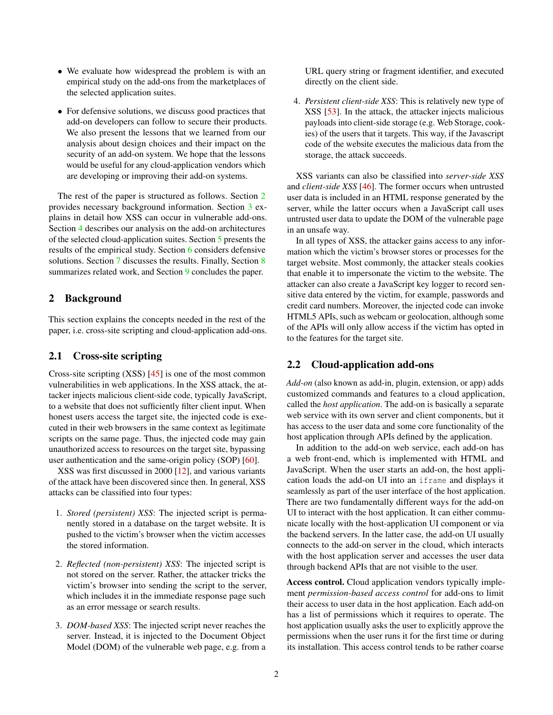- We evaluate how widespread the problem is with an empirical study on the add-ons from the marketplaces of the selected application suites.
- For defensive solutions, we discuss good practices that add-on developers can follow to secure their products. We also present the lessons that we learned from our analysis about design choices and their impact on the security of an add-on system. We hope that the lessons would be useful for any cloud-application vendors which are developing or improving their add-on systems.

The rest of the paper is structured as follows. Section [2](#page-1-0) provides necessary background information. Section [3](#page-2-0) explains in detail how XSS can occur in vulnerable add-ons. Section [4](#page-3-0) describes our analysis on the add-on architectures of the selected cloud-application suites. Section [5](#page-7-0) presents the results of the empirical study. Section [6](#page-10-0) considers defensive solutions. Section [7](#page-11-0) discusses the results. Finally, Section [8](#page-12-4) summarizes related work, and Section [9](#page-12-5) concludes the paper.

## <span id="page-1-0"></span>2 Background

This section explains the concepts needed in the rest of the paper, i.e. cross-site scripting and cloud-application add-ons.

### <span id="page-1-1"></span>2.1 Cross-site scripting

Cross-site scripting (XSS) [\[45\]](#page-14-0) is one of the most common vulnerabilities in web applications. In the XSS attack, the attacker injects malicious client-side code, typically JavaScript, to a website that does not sufficiently filter client input. When honest users access the target site, the injected code is executed in their web browsers in the same context as legitimate scripts on the same page. Thus, the injected code may gain unauthorized access to resources on the target site, bypassing user authentication and the same-origin policy (SOP) [\[60\]](#page-14-4).

XSS was first discussed in 2000 [\[12\]](#page-13-4), and various variants of the attack have been discovered since then. In general, XSS attacks can be classified into four types:

- 1. *Stored (persistent) XSS*: The injected script is permanently stored in a database on the target website. It is pushed to the victim's browser when the victim accesses the stored information.
- 2. *Reflected (non-persistent) XSS*: The injected script is not stored on the server. Rather, the attacker tricks the victim's browser into sending the script to the server, which includes it in the immediate response page such as an error message or search results.
- 3. *DOM-based XSS*: The injected script never reaches the server. Instead, it is injected to the Document Object Model (DOM) of the vulnerable web page, e.g. from a

URL query string or fragment identifier, and executed directly on the client side.

4. *Persistent client-side XSS*: This is relatively new type of XSS [\[53\]](#page-14-2). In the attack, the attacker injects malicious payloads into client-side storage (e.g. Web Storage, cookies) of the users that it targets. This way, if the Javascript code of the website executes the malicious data from the storage, the attack succeeds.

XSS variants can also be classified into *server-side XSS* and *client-side XSS* [\[46\]](#page-14-5). The former occurs when untrusted user data is included in an HTML response generated by the server, while the latter occurs when a JavaScript call uses untrusted user data to update the DOM of the vulnerable page in an unsafe way.

In all types of XSS, the attacker gains access to any information which the victim's browser stores or processes for the target website. Most commonly, the attacker steals cookies that enable it to impersonate the victim to the website. The attacker can also create a JavaScript key logger to record sensitive data entered by the victim, for example, passwords and credit card numbers. Moreover, the injected code can invoke HTML5 APIs, such as webcam or geolocation, although some of the APIs will only allow access if the victim has opted in to the features for the target site.

## 2.2 Cloud-application add-ons

*Add-on* (also known as add-in, plugin, extension, or app) adds customized commands and features to a cloud application, called the *host application*. The add-on is basically a separate web service with its own server and client components, but it has access to the user data and some core functionality of the host application through APIs defined by the application.

In addition to the add-on web service, each add-on has a web front-end, which is implemented with HTML and JavaScript. When the user starts an add-on, the host application loads the add-on UI into an iframe and displays it seamlessly as part of the user interface of the host application. There are two fundamentally different ways for the add-on UI to interact with the host application. It can either communicate locally with the host-application UI component or via the backend servers. In the latter case, the add-on UI usually connects to the add-on server in the cloud, which interacts with the host application server and accesses the user data through backend APIs that are not visible to the user.

Access control. Cloud application vendors typically implement *permission-based access control* for add-ons to limit their access to user data in the host application. Each add-on has a list of permissions which it requires to operate. The host application usually asks the user to explicitly approve the permissions when the user runs it for the first time or during its installation. This access control tends to be rather coarse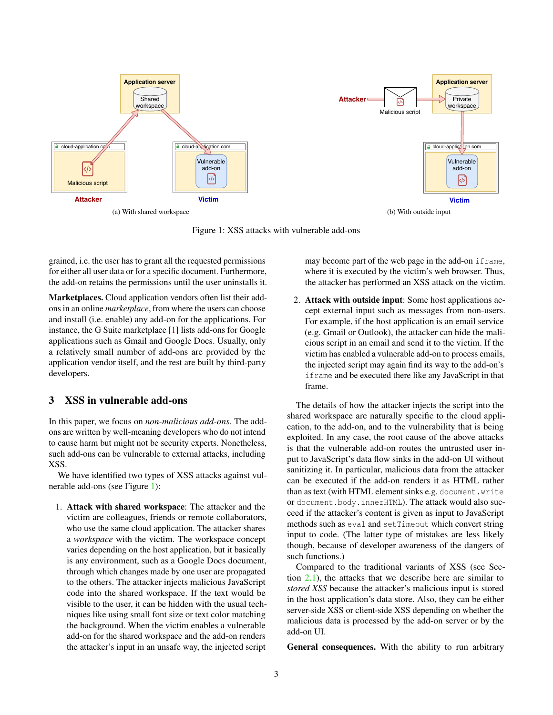<span id="page-2-1"></span>

Figure 1: XSS attacks with vulnerable add-ons

grained, i.e. the user has to grant all the requested permissions for either all user data or for a specific document. Furthermore, the add-on retains the permissions until the user uninstalls it.

Marketplaces. Cloud application vendors often list their addons in an online *marketplace*, from where the users can choose and install (i.e. enable) any add-on for the applications. For instance, the G Suite marketplace [\[1\]](#page-12-2) lists add-ons for Google applications such as Gmail and Google Docs. Usually, only a relatively small number of add-ons are provided by the application vendor itself, and the rest are built by third-party developers.

### <span id="page-2-0"></span>3 XSS in vulnerable add-ons

In this paper, we focus on *non-malicious add-ons*. The addons are written by well-meaning developers who do not intend to cause harm but might not be security experts. Nonetheless, such add-ons can be vulnerable to external attacks, including XSS.

We have identified two types of XSS attacks against vulnerable add-ons (see Figure [1\)](#page-2-1):

1. Attack with shared workspace: The attacker and the victim are colleagues, friends or remote collaborators, who use the same cloud application. The attacker shares a *workspace* with the victim. The workspace concept varies depending on the host application, but it basically is any environment, such as a Google Docs document, through which changes made by one user are propagated to the others. The attacker injects malicious JavaScript code into the shared workspace. If the text would be visible to the user, it can be hidden with the usual techniques like using small font size or text color matching the background. When the victim enables a vulnerable add-on for the shared workspace and the add-on renders the attacker's input in an unsafe way, the injected script

may become part of the web page in the add-on iframe, where it is executed by the victim's web browser. Thus, the attacker has performed an XSS attack on the victim.

2. Attack with outside input: Some host applications accept external input such as messages from non-users. For example, if the host application is an email service (e.g. Gmail or Outlook), the attacker can hide the malicious script in an email and send it to the victim. If the victim has enabled a vulnerable add-on to process emails, the injected script may again find its way to the add-on's iframe and be executed there like any JavaScript in that frame.

The details of how the attacker injects the script into the shared workspace are naturally specific to the cloud application, to the add-on, and to the vulnerability that is being exploited. In any case, the root cause of the above attacks is that the vulnerable add-on routes the untrusted user input to JavaScript's data flow sinks in the add-on UI without sanitizing it. In particular, malicious data from the attacker can be executed if the add-on renders it as HTML rather than as text (with HTML element sinks e.g. document.write or document.body.innerHTML). The attack would also succeed if the attacker's content is given as input to JavaScript methods such as eval and setTimeout which convert string input to code. (The latter type of mistakes are less likely though, because of developer awareness of the dangers of such functions.)

Compared to the traditional variants of XSS (see Section [2.1\)](#page-1-1), the attacks that we describe here are similar to *stored XSS* because the attacker's malicious input is stored in the host application's data store. Also, they can be either server-side XSS or client-side XSS depending on whether the malicious data is processed by the add-on server or by the add-on UI.

General consequences. With the ability to run arbitrary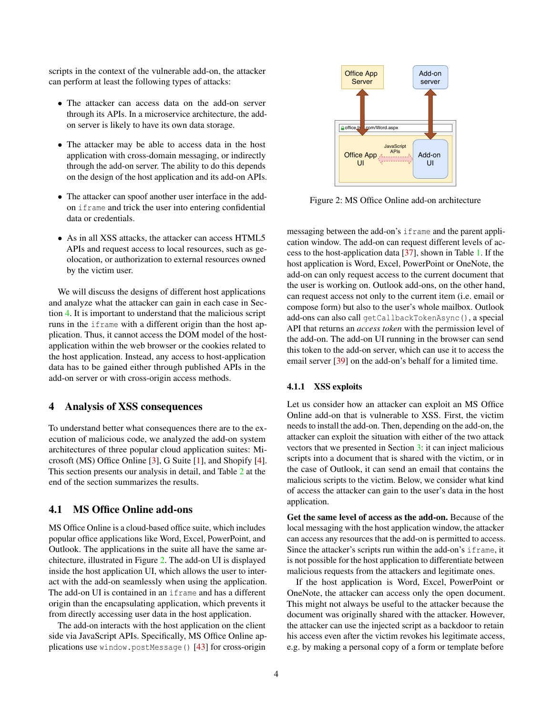scripts in the context of the vulnerable add-on, the attacker can perform at least the following types of attacks:

- The attacker can access data on the add-on server through its APIs. In a microservice architecture, the addon server is likely to have its own data storage.
- The attacker may be able to access data in the host application with cross-domain messaging, or indirectly through the add-on server. The ability to do this depends on the design of the host application and its add-on APIs.
- The attacker can spoof another user interface in the addon iframe and trick the user into entering confidential data or credentials.
- As in all XSS attacks, the attacker can access HTML5 APIs and request access to local resources, such as geolocation, or authorization to external resources owned by the victim user.

We will discuss the designs of different host applications and analyze what the attacker can gain in each case in Section [4.](#page-3-0) It is important to understand that the malicious script runs in the iframe with a different origin than the host application. Thus, it cannot access the DOM model of the hostapplication within the web browser or the cookies related to the host application. Instead, any access to host-application data has to be gained either through published APIs in the add-on server or with cross-origin access methods.

# <span id="page-3-0"></span>4 Analysis of XSS consequences

To understand better what consequences there are to the execution of malicious code, we analyzed the add-on system architectures of three popular cloud application suites: Microsoft (MS) Office Online [\[3\]](#page-12-1), G Suite [\[1\]](#page-12-2), and Shopify [\[4\]](#page-12-3). This section presents our analysis in detail, and Table [2](#page-7-1) at the end of the section summarizes the results.

## 4.1 MS Office Online add-ons

MS Office Online is a cloud-based office suite, which includes popular office applications like Word, Excel, PowerPoint, and Outlook. The applications in the suite all have the same architecture, illustrated in Figure [2.](#page-3-1) The add-on UI is displayed inside the host application UI, which allows the user to interact with the add-on seamlessly when using the application. The add-on UI is contained in an iframe and has a different origin than the encapsulating application, which prevents it from directly accessing user data in the host application.

The add-on interacts with the host application on the client side via JavaScript APIs. Specifically, MS Office Online applications use window.postMessage() [\[43\]](#page-14-6) for cross-origin

<span id="page-3-1"></span>

Figure 2: MS Office Online add-on architecture

messaging between the add-on's iframe and the parent application window. The add-on can request different levels of access to the host-application data [\[37\]](#page-13-5), shown in Table [1.](#page-4-0) If the host application is Word, Excel, PowerPoint or OneNote, the add-on can only request access to the current document that the user is working on. Outlook add-ons, on the other hand, can request access not only to the current item (i.e. email or compose form) but also to the user's whole mailbox. Outlook add-ons can also call getCallbackTokenAsync(), a special API that returns an *access token* with the permission level of the add-on. The add-on UI running in the browser can send this token to the add-on server, which can use it to access the email server [\[39\]](#page-13-6) on the add-on's behalf for a limited time.

#### <span id="page-3-2"></span>4.1.1 XSS exploits

Let us consider how an attacker can exploit an MS Office Online add-on that is vulnerable to XSS. First, the victim needs to install the add-on. Then, depending on the add-on, the attacker can exploit the situation with either of the two attack vectors that we presented in Section [3:](#page-2-0) it can inject malicious scripts into a document that is shared with the victim, or in the case of Outlook, it can send an email that contains the malicious scripts to the victim. Below, we consider what kind of access the attacker can gain to the user's data in the host application.

Get the same level of access as the add-on. Because of the local messaging with the host application window, the attacker can access any resources that the add-on is permitted to access. Since the attacker's scripts run within the add-on's iframe, it is not possible for the host application to differentiate between malicious requests from the attackers and legitimate ones.

If the host application is Word, Excel, PowerPoint or OneNote, the attacker can access only the open document. This might not always be useful to the attacker because the document was originally shared with the attacker. However, the attacker can use the injected script as a backdoor to retain his access even after the victim revokes his legitimate access, e.g. by making a personal copy of a form or template before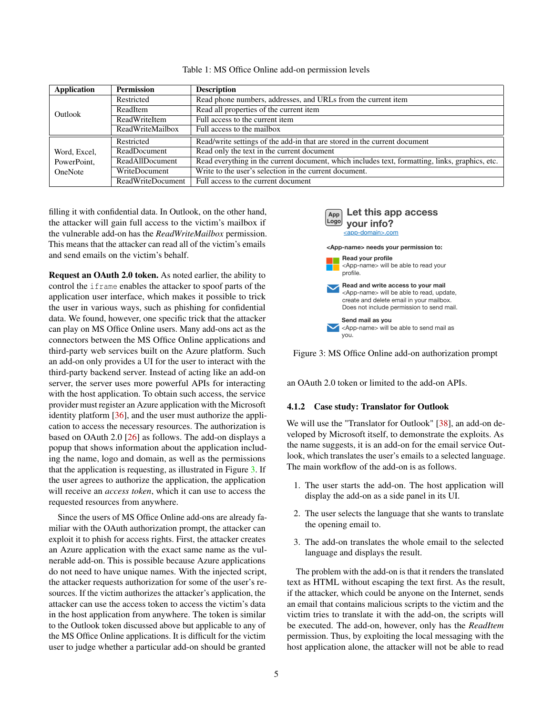<span id="page-4-0"></span>

| Application    | <b>Permission</b> | <b>Description</b>                                                                              |  |  |
|----------------|-------------------|-------------------------------------------------------------------------------------------------|--|--|
|                | Restricted        | Read phone numbers, addresses, and URLs from the current item                                   |  |  |
| Outlook        | ReadItem          | Read all properties of the current item                                                         |  |  |
|                | ReadWriteItem     | Full access to the current item                                                                 |  |  |
|                | ReadWriteMailbox  | Full access to the mailbox                                                                      |  |  |
|                | Restricted        | Read/write settings of the add-in that are stored in the current document                       |  |  |
| Word, Excel,   | ReadDocument      | Read only the text in the current document                                                      |  |  |
| PowerPoint,    | ReadAllDocument   | Read everything in the current document, which includes text, formatting, links, graphics, etc. |  |  |
| <b>OneNote</b> | WriteDocument     | Write to the user's selection in the current document.                                          |  |  |
|                | ReadWriteDocument | Full access to the current document                                                             |  |  |

Table 1: MS Office Online add-on permission levels

filling it with confidential data. In Outlook, on the other hand, the attacker will gain full access to the victim's mailbox if the vulnerable add-on has the *ReadWriteMailbox* permission. This means that the attacker can read all of the victim's emails and send emails on the victim's behalf.

Request an OAuth 2.0 token. As noted earlier, the ability to control the iframe enables the attacker to spoof parts of the application user interface, which makes it possible to trick the user in various ways, such as phishing for confidential data. We found, however, one specific trick that the attacker can play on MS Office Online users. Many add-ons act as the connectors between the MS Office Online applications and third-party web services built on the Azure platform. Such an add-on only provides a UI for the user to interact with the third-party backend server. Instead of acting like an add-on server, the server uses more powerful APIs for interacting with the host application. To obtain such access, the service provider must register an Azure application with the Microsoft identity platform [\[36\]](#page-13-7), and the user must authorize the application to access the necessary resources. The authorization is based on OAuth 2.0 [\[26\]](#page-13-8) as follows. The add-on displays a popup that shows information about the application including the name, logo and domain, as well as the permissions that the application is requesting, as illustrated in Figure [3.](#page-4-1) If the user agrees to authorize the application, the application will receive an *access token*, which it can use to access the requested resources from anywhere.

Since the users of MS Office Online add-ons are already familiar with the OAuth authorization prompt, the attacker can exploit it to phish for access rights. First, the attacker creates an Azure application with the exact same name as the vulnerable add-on. This is possible because Azure applications do not need to have unique names. With the injected script, the attacker requests authorization for some of the user's resources. If the victim authorizes the attacker's application, the attacker can use the access token to access the victim's data in the host application from anywhere. The token is similar to the Outlook token discussed above but applicable to any of the MS Office Online applications. It is difficult for the victim user to judge whether a particular add-on should be granted

<span id="page-4-1"></span>



an OAuth 2.0 token or limited to the add-on APIs.

#### 4.1.2 Case study: Translator for Outlook

We will use the "Translator for Outlook" [\[38\]](#page-13-9), an add-on developed by Microsoft itself, to demonstrate the exploits. As the name suggests, it is an add-on for the email service Outlook, which translates the user's emails to a selected language. The main workflow of the add-on is as follows.

- 1. The user starts the add-on. The host application will display the add-on as a side panel in its UI.
- 2. The user selects the language that she wants to translate the opening email to.
- 3. The add-on translates the whole email to the selected language and displays the result.

The problem with the add-on is that it renders the translated text as HTML without escaping the text first. As the result, if the attacker, which could be anyone on the Internet, sends an email that contains malicious scripts to the victim and the victim tries to translate it with the add-on, the scripts will be executed. The add-on, however, only has the *ReadItem* permission. Thus, by exploiting the local messaging with the host application alone, the attacker will not be able to read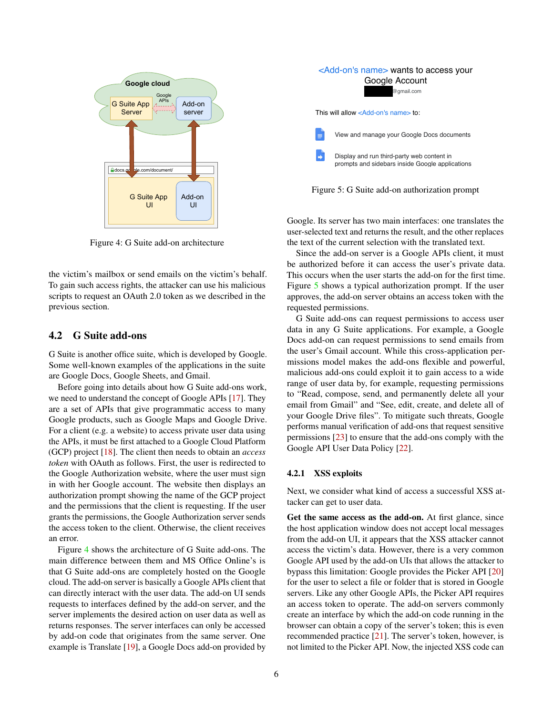<span id="page-5-0"></span>

Figure 4: G Suite add-on architecture

the victim's mailbox or send emails on the victim's behalf. To gain such access rights, the attacker can use his malicious scripts to request an OAuth 2.0 token as we described in the previous section.

### 4.2 G Suite add-ons

G Suite is another office suite, which is developed by Google. Some well-known examples of the applications in the suite are Google Docs, Google Sheets, and Gmail.

Before going into details about how G Suite add-ons work, we need to understand the concept of Google APIs [\[17\]](#page-13-10). They are a set of APIs that give programmatic access to many Google products, such as Google Maps and Google Drive. For a client (e.g. a website) to access private user data using the APIs, it must be first attached to a Google Cloud Platform (GCP) project [\[18\]](#page-13-11). The client then needs to obtain an *access token* with OAuth as follows. First, the user is redirected to the Google Authorization website, where the user must sign in with her Google account. The website then displays an authorization prompt showing the name of the GCP project and the permissions that the client is requesting. If the user grants the permissions, the Google Authorization server sends the access token to the client. Otherwise, the client receives an error.

Figure [4](#page-5-0) shows the architecture of G Suite add-ons. The main difference between them and MS Office Online's is that G Suite add-ons are completely hosted on the Google cloud. The add-on server is basically a Google APIs client that can directly interact with the user data. The add-on UI sends requests to interfaces defined by the add-on server, and the server implements the desired action on user data as well as returns responses. The server interfaces can only be accessed by add-on code that originates from the same server. One example is Translate [\[19\]](#page-13-0), a Google Docs add-on provided by

<span id="page-5-1"></span>



Google. Its server has two main interfaces: one translates the user-selected text and returns the result, and the other replaces the text of the current selection with the translated text.

Since the add-on server is a Google APIs client, it must be authorized before it can access the user's private data. This occurs when the user starts the add-on for the first time. Figure [5](#page-5-1) shows a typical authorization prompt. If the user approves, the add-on server obtains an access token with the requested permissions.

G Suite add-ons can request permissions to access user data in any G Suite applications. For example, a Google Docs add-on can request permissions to send emails from the user's Gmail account. While this cross-application permissions model makes the add-ons flexible and powerful, malicious add-ons could exploit it to gain access to a wide range of user data by, for example, requesting permissions to "Read, compose, send, and permanently delete all your email from Gmail" and "See, edit, create, and delete all of your Google Drive files". To mitigate such threats, Google performs manual verification of add-ons that request sensitive permissions [\[23\]](#page-13-12) to ensure that the add-ons comply with the Google API User Data Policy [\[22\]](#page-13-13).

#### 4.2.1 XSS exploits

Next, we consider what kind of access a successful XSS attacker can get to user data.

Get the same access as the add-on. At first glance, since the host application window does not accept local messages from the add-on UI, it appears that the XSS attacker cannot access the victim's data. However, there is a very common Google API used by the add-on UIs that allows the attacker to bypass this limitation: Google provides the Picker API [\[20\]](#page-13-14) for the user to select a file or folder that is stored in Google servers. Like any other Google APIs, the Picker API requires an access token to operate. The add-on servers commonly create an interface by which the add-on code running in the browser can obtain a copy of the server's token; this is even recommended practice [\[21\]](#page-13-15). The server's token, however, is not limited to the Picker API. Now, the injected XSS code can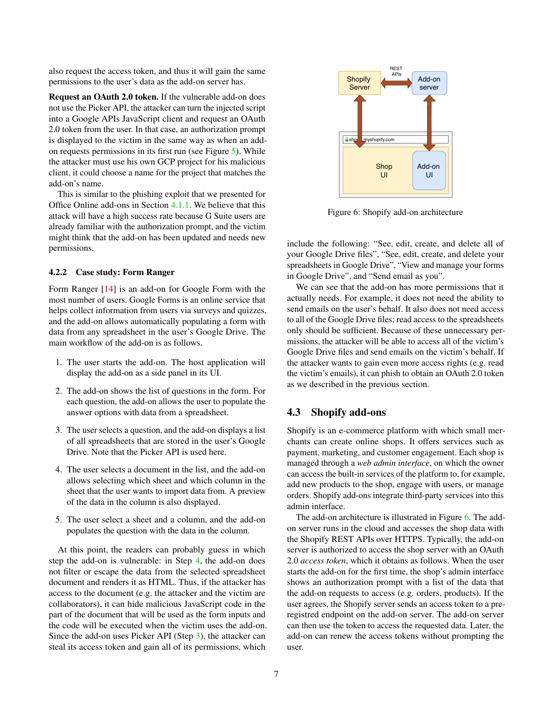also request the access token, and thus it will gain the same permissions to the user's data as the add-on server has.

Request an OAuth 2.0 token. If the vulnerable add-on does not use the Picker API, the attacker can turn the injected script into a Google APIs JavaScript client and request an OAuth 2.0 token from the user. In that case, an authorization prompt is displayed to the victim in the same way as when an addon requests permissions in its first run (see Figure [5\)](#page-5-1). While the attacker must use his own GCP project for his malicious client, it could choose a name for the project that matches the add-on's name.

This is similar to the phishing exploit that we presented for Office Online add-ons in Section [4.1.1.](#page-3-2) We believe that this attack will have a high success rate because G Suite users are already familiar with the authorization prompt, and the victim might think that the add-on has been updated and needs new permissions.

#### <span id="page-6-3"></span>4.2.2 Case study: Form Ranger

Form Ranger [\[14\]](#page-13-16) is an add-on for Google Form with the most number of users. Google Forms is an online service that helps collect information from users via surveys and quizzes, and the add-on allows automatically populating a form with data from any spreadsheet in the user's Google Drive. The main workflow of the add-on is as follows.

- 1. The user starts the add-on. The host application will display the add-on as a side panel in its UI.
- 2. The add-on shows the list of questions in the form. For each question, the add-on allows the user to populate the answer options with data from a spreadsheet.
- <span id="page-6-1"></span>3. The user selects a question, and the add-on displays a list of all spreadsheets that are stored in the user's Google Drive. Note that the Picker API is used here.
- <span id="page-6-0"></span>4. The user selects a document in the list, and the add-on allows selecting which sheet and which column in the sheet that the user wants to import data from. A preview of the data in the column is also displayed.
- 5. The user select a sheet and a column, and the add-on populates the question with the data in the column.

At this point, the readers can probably guess in which step the add-on is vulnerable: in Step [4,](#page-6-0) the add-on does not filter or escape the data from the selected spreadsheet document and renders it as HTML. Thus, if the attacker has access to the document (e.g. the attacker and the victim are collaborators), it can hide malicious JavaScript code in the part of the document that will be used as the form inputs and the code will be executed when the victim uses the add-on. Since the add-on uses Picker API (Step [3\)](#page-6-1), the attacker can steal its access token and gain all of its permissions, which

<span id="page-6-2"></span>

Figure 6: Shopify add-on architecture

include the following: "See, edit, create, and delete all of your Google Drive files", "See, edit, create, and delete your spreadsheets in Google Drive", "View and manage your forms in Google Drive", and "Send email as you".

We can see that the add-on has more permissions that it actually needs. For example, it does not need the ability to send emails on the user's behalf. It also does not need access to all of the Google Drive files; read access to the spreadsheets only should be sufficient. Because of these unnecessary permissions, the attacker will be able to access all of the victim's Google Drive files and send emails on the victim's behalf. If the attacker wants to gain even more access rights (e.g. read the victim's emails), it can phish to obtain an OAuth 2.0 token as we described in the previous section.

### 4.3 Shopify add-ons

Shopify is an e-commerce platform with which small merchants can create online shops. It offers services such as payment, marketing, and customer engagement. Each shop is managed through a *web admin interface*, on which the owner can access the built-in services of the platform to, for example, add new products to the shop, engage with users, or manage orders. Shopify add-ons integrate third-party services into this admin interface.

The add-on architecture is illustrated in Figure [6.](#page-6-2) The addon server runs in the cloud and accesses the shop data with the Shopify REST APIs over HTTPS. Typically, the add-on server is authorized to access the shop server with an OAuth 2.0 *access token*, which it obtains as follows. When the user starts the add-on for the first time, the shop's admin interface shows an authorization prompt with a list of the data that the add-on requests to access (e.g. orders, products). If the user agrees, the Shopify server sends an access token to a preregistred endpoint on the add-on server. The add-on server can then use the token to access the requested data. Later, the add-on can renew the access tokens without prompting the user.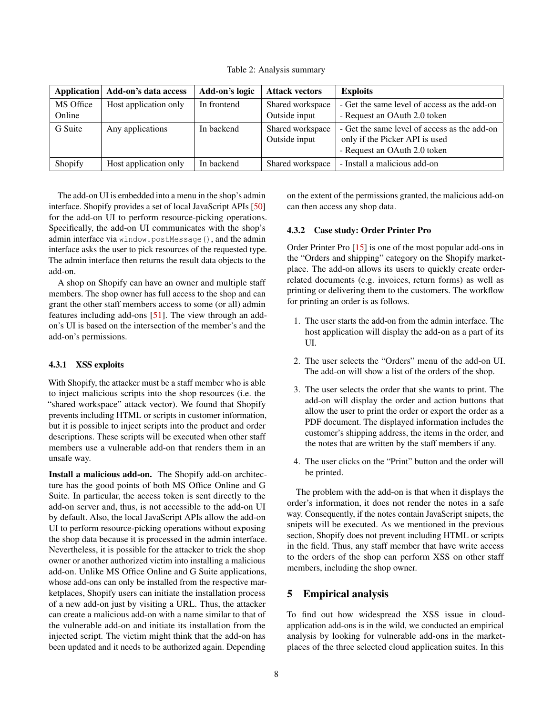Table 2: Analysis summary

<span id="page-7-1"></span>

| <b>Application</b>  | Add-on's data access  | Add-on's logic | <b>Attack vectors</b>             | <b>Exploits</b>                                                                                                |
|---------------------|-----------------------|----------------|-----------------------------------|----------------------------------------------------------------------------------------------------------------|
| MS Office<br>Online | Host application only | In frontend    | Shared workspace<br>Outside input | - Get the same level of access as the add-on<br>- Request an OAuth 2.0 token                                   |
| G Suite             | Any applications      | In backend     | Shared workspace<br>Outside input | - Get the same level of access as the add-on<br>only if the Picker API is used<br>- Request an OAuth 2.0 token |
| Shopify             | Host application only | In backend     | Shared workspace                  | - Install a malicious add-on                                                                                   |

The add-on UI is embedded into a menu in the shop's admin interface. Shopify provides a set of local JavaScript APIs [\[50\]](#page-14-7) for the add-on UI to perform resource-picking operations. Specifically, the add-on UI communicates with the shop's admin interface via window.postMessage(), and the admin interface asks the user to pick resources of the requested type. The admin interface then returns the result data objects to the add-on.

A shop on Shopify can have an owner and multiple staff members. The shop owner has full access to the shop and can grant the other staff members access to some (or all) admin features including add-ons [\[51\]](#page-14-8). The view through an addon's UI is based on the intersection of the member's and the add-on's permissions.

## <span id="page-7-2"></span>4.3.1 XSS exploits

With Shopify, the attacker must be a staff member who is able to inject malicious scripts into the shop resources (i.e. the "shared workspace" attack vector). We found that Shopify prevents including HTML or scripts in customer information, but it is possible to inject scripts into the product and order descriptions. These scripts will be executed when other staff members use a vulnerable add-on that renders them in an unsafe way.

Install a malicious add-on. The Shopify add-on architecture has the good points of both MS Office Online and G Suite. In particular, the access token is sent directly to the add-on server and, thus, is not accessible to the add-on UI by default. Also, the local JavaScript APIs allow the add-on UI to perform resource-picking operations without exposing the shop data because it is processed in the admin interface. Nevertheless, it is possible for the attacker to trick the shop owner or another authorized victim into installing a malicious add-on. Unlike MS Office Online and G Suite applications, whose add-ons can only be installed from the respective marketplaces, Shopify users can initiate the installation process of a new add-on just by visiting a URL. Thus, the attacker can create a malicious add-on with a name similar to that of the vulnerable add-on and initiate its installation from the injected script. The victim might think that the add-on has been updated and it needs to be authorized again. Depending

on the extent of the permissions granted, the malicious add-on can then access any shop data.

#### 4.3.2 Case study: Order Printer Pro

Order Printer Pro [\[15\]](#page-13-17) is one of the most popular add-ons in the "Orders and shipping" category on the Shopify marketplace. The add-on allows its users to quickly create orderrelated documents (e.g. invoices, return forms) as well as printing or delivering them to the customers. The workflow for printing an order is as follows.

- 1. The user starts the add-on from the admin interface. The host application will display the add-on as a part of its UI.
- 2. The user selects the "Orders" menu of the add-on UI. The add-on will show a list of the orders of the shop.
- 3. The user selects the order that she wants to print. The add-on will display the order and action buttons that allow the user to print the order or export the order as a PDF document. The displayed information includes the customer's shipping address, the items in the order, and the notes that are written by the staff members if any.
- 4. The user clicks on the "Print" button and the order will be printed.

The problem with the add-on is that when it displays the order's information, it does not render the notes in a safe way. Consequently, if the notes contain JavaScript snipets, the snipets will be executed. As we mentioned in the previous section, Shopify does not prevent including HTML or scripts in the field. Thus, any staff member that have write access to the orders of the shop can perform XSS on other staff members, including the shop owner.

# <span id="page-7-0"></span>5 Empirical analysis

To find out how widespread the XSS issue in cloudapplication add-ons is in the wild, we conducted an empirical analysis by looking for vulnerable add-ons in the marketplaces of the three selected cloud application suites. In this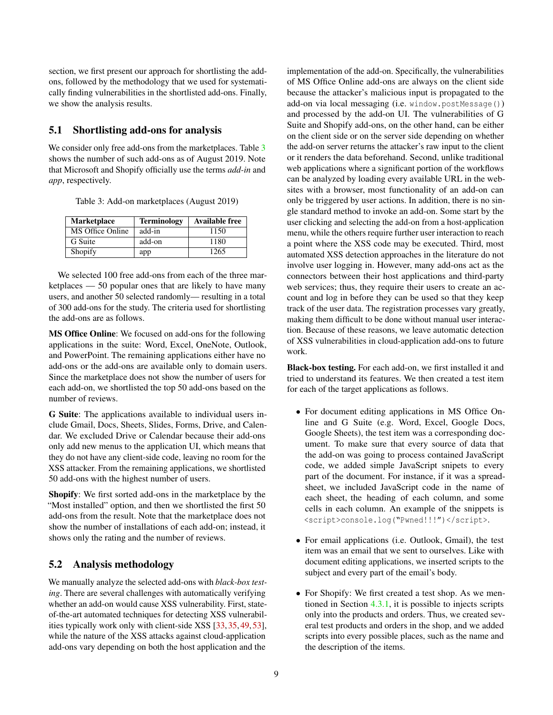section, we first present our approach for shortlisting the addons, followed by the methodology that we used for systematically finding vulnerabilities in the shortlisted add-ons. Finally, we show the analysis results.

### 5.1 Shortlisting add-ons for analysis

We consider only free add-ons from the marketplaces. Table [3](#page-8-0) shows the number of such add-ons as of August 2019. Note that Microsoft and Shopify officially use the terms *add-in* and *app*, respectively.

<span id="page-8-0"></span>Table 3: Add-on marketplaces (August 2019)

| <b>Marketplace</b> | <b>Terminology</b> | <b>Available free</b> |
|--------------------|--------------------|-----------------------|
| MS Office Online   | add-in             | 1150                  |
| G Suite            | add-on             | 1180                  |
| Shopify            | app                | 1265                  |

We selected 100 free add-ons from each of the three marketplaces — 50 popular ones that are likely to have many users, and another 50 selected randomly— resulting in a total of 300 add-ons for the study. The criteria used for shortlisting the add-ons are as follows.

MS Office Online: We focused on add-ons for the following applications in the suite: Word, Excel, OneNote, Outlook, and PowerPoint. The remaining applications either have no add-ons or the add-ons are available only to domain users. Since the marketplace does not show the number of users for each add-on, we shortlisted the top 50 add-ons based on the number of reviews.

G Suite: The applications available to individual users include Gmail, Docs, Sheets, Slides, Forms, Drive, and Calendar. We excluded Drive or Calendar because their add-ons only add new menus to the application UI, which means that they do not have any client-side code, leaving no room for the XSS attacker. From the remaining applications, we shortlisted 50 add-ons with the highest number of users.

Shopify: We first sorted add-ons in the marketplace by the "Most installed" option, and then we shortlisted the first 50 add-ons from the result. Note that the marketplace does not show the number of installations of each add-on; instead, it shows only the rating and the number of reviews.

## <span id="page-8-1"></span>5.2 Analysis methodology

We manually analyze the selected add-ons with *black-box testing*. There are several challenges with automatically verifying whether an add-on would cause XSS vulnerability. First, stateof-the-art automated techniques for detecting XSS vulnerabilities typically work only with client-side XSS [\[33,](#page-13-3) [35,](#page-13-18) [49,](#page-14-9) [53\]](#page-14-2), while the nature of the XSS attacks against cloud-application add-ons vary depending on both the host application and the

implementation of the add-on. Specifically, the vulnerabilities of MS Office Online add-ons are always on the client side because the attacker's malicious input is propagated to the add-on via local messaging (i.e. window.postMessage()) and processed by the add-on UI. The vulnerabilities of G Suite and Shopify add-ons, on the other hand, can be either on the client side or on the server side depending on whether the add-on server returns the attacker's raw input to the client or it renders the data beforehand. Second, unlike traditional web applications where a significant portion of the workflows can be analyzed by loading every available URL in the websites with a browser, most functionality of an add-on can only be triggered by user actions. In addition, there is no single standard method to invoke an add-on. Some start by the user clicking and selecting the add-on from a host-application menu, while the others require further user interaction to reach a point where the XSS code may be executed. Third, most automated XSS detection approaches in the literature do not involve user logging in. However, many add-ons act as the connectors between their host applications and third-party web services; thus, they require their users to create an account and log in before they can be used so that they keep track of the user data. The registration processes vary greatly, making them difficult to be done without manual user interaction. Because of these reasons, we leave automatic detection of XSS vulnerabilities in cloud-application add-ons to future work.

Black-box testing. For each add-on, we first installed it and tried to understand its features. We then created a test item for each of the target applications as follows.

- For document editing applications in MS Office Online and G Suite (e.g. Word, Excel, Google Docs, Google Sheets), the test item was a corresponding document. To make sure that every source of data that the add-on was going to process contained JavaScript code, we added simple JavaScript snipets to every part of the document. For instance, if it was a spreadsheet, we included JavaScript code in the name of each sheet, the heading of each column, and some cells in each column. An example of the snippets is <script>console.log("Pwned!!!")</script>.
- For email applications (i.e. Outlook, Gmail), the test item was an email that we sent to ourselves. Like with document editing applications, we inserted scripts to the subject and every part of the email's body.
- For Shopify: We first created a test shop. As we mentioned in Section [4.3.1,](#page-7-2) it is possible to injects scripts only into the products and orders. Thus, we created several test products and orders in the shop, and we added scripts into every possible places, such as the name and the description of the items.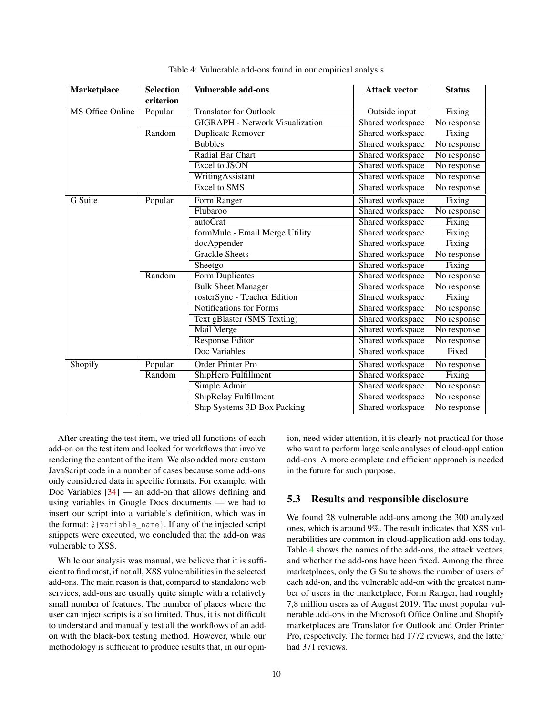<span id="page-9-0"></span>

| Marketplace             | <b>Selection</b> | <b>Vulnerable add-ons</b>              | <b>Attack vector</b> | <b>Status</b>        |
|-------------------------|------------------|----------------------------------------|----------------------|----------------------|
|                         | criterion        |                                        |                      |                      |
| <b>MS Office Online</b> | Popular          | <b>Translator for Outlook</b>          | Outside input        | Fixing               |
|                         |                  | <b>GIGRAPH - Network Visualization</b> | Shared workspace     | No response          |
|                         | Random           | Duplicate Remover                      | Shared workspace     | Fixing               |
|                         |                  | <b>Bubbles</b>                         | Shared workspace     | No response          |
|                         |                  | Radial Bar Chart                       | Shared workspace     | No response          |
|                         |                  | <b>Excel to JSON</b>                   | Shared workspace     | No response          |
|                         |                  | WritingAssistant                       | Shared workspace     | No response          |
|                         |                  | <b>Excel to SMS</b>                    | Shared workspace     | No response          |
| G Suite                 | Popular          | Form Ranger                            | Shared workspace     | Fixing               |
|                         |                  | Flubaroo                               | Shared workspace     | No response          |
|                         |                  | autoCrat                               | Shared workspace     | Fixing               |
|                         |                  | formMule - Email Merge Utility         | Shared workspace     | Fixing               |
|                         |                  | docAppender                            | Shared workspace     | Fixing               |
|                         |                  | <b>Grackle Sheets</b>                  | Shared workspace     | No response          |
|                         |                  | Sheetgo                                | Shared workspace     | Fixing               |
|                         | Random           | <b>Form Duplicates</b>                 | Shared workspace     | No response          |
|                         |                  | <b>Bulk Sheet Manager</b>              | Shared workspace     | No response          |
|                         |                  | rosterSync - Teacher Edition           | Shared workspace     | $\overline{Fix}$ ing |
|                         |                  | <b>Notifications for Forms</b>         | Shared workspace     | No response          |
|                         |                  | Text gBlaster (SMS Texting)            | Shared workspace     | No response          |
|                         |                  | Mail Merge                             | Shared workspace     | No response          |
|                         |                  | <b>Response Editor</b>                 | Shared workspace     | No response          |
|                         |                  | Doc Variables                          | Shared workspace     | Fixed                |
| Shopify                 | Popular          | Order Printer Pro                      | Shared workspace     | No response          |
|                         | Random           | ShipHero Fulfillment                   | Shared workspace     | Fixing               |
|                         |                  | Simple Admin                           | Shared workspace     | No response          |
|                         |                  | ShipRelay Fulfillment                  | Shared workspace     | No response          |
|                         |                  | Ship Systems 3D Box Packing            | Shared workspace     | No response          |

Table 4: Vulnerable add-ons found in our empirical analysis

After creating the test item, we tried all functions of each add-on on the test item and looked for workflows that involve rendering the content of the item. We also added more custom JavaScript code in a number of cases because some add-ons only considered data in specific formats. For example, with Doc Variables [\[34\]](#page-13-19) — an add-on that allows defining and using variables in Google Docs documents — we had to insert our script into a variable's definition, which was in the format: \${variable\_name}. If any of the injected script snippets were executed, we concluded that the add-on was vulnerable to XSS.

While our analysis was manual, we believe that it is sufficient to find most, if not all, XSS vulnerabilities in the selected add-ons. The main reason is that, compared to standalone web services, add-ons are usually quite simple with a relatively small number of features. The number of places where the user can inject scripts is also limited. Thus, it is not difficult to understand and manually test all the workflows of an addon with the black-box testing method. However, while our methodology is sufficient to produce results that, in our opinion, need wider attention, it is clearly not practical for those who want to perform large scale analyses of cloud-application add-ons. A more complete and efficient approach is needed in the future for such purpose.

# 5.3 Results and responsible disclosure

We found 28 vulnerable add-ons among the 300 analyzed ones, which is around 9%. The result indicates that XSS vulnerabilities are common in cloud-application add-ons today. Table [4](#page-9-0) shows the names of the add-ons, the attack vectors, and whether the add-ons have been fixed. Among the three marketplaces, only the G Suite shows the number of users of each add-on, and the vulnerable add-on with the greatest number of users in the marketplace, Form Ranger, had roughly 7,8 million users as of August 2019. The most popular vulnerable add-ons in the Microsoft Office Online and Shopify marketplaces are Translator for Outlook and Order Printer Pro, respectively. The former had 1772 reviews, and the latter had 371 reviews.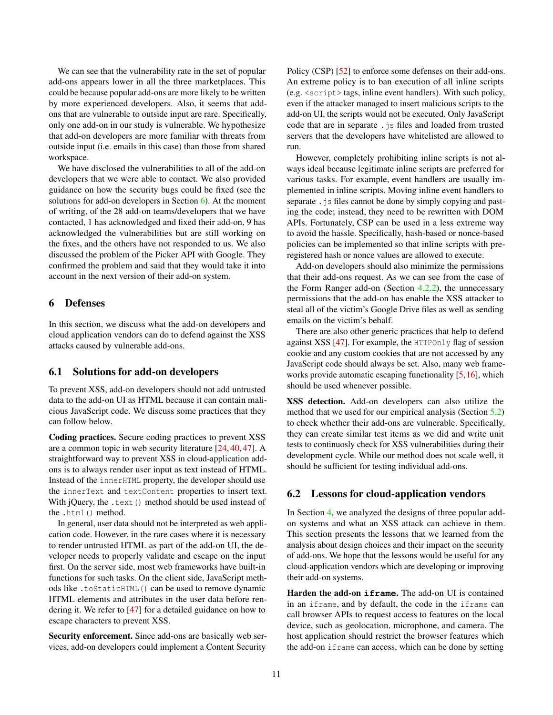We can see that the vulnerability rate in the set of popular add-ons appears lower in all the three marketplaces. This could be because popular add-ons are more likely to be written by more experienced developers. Also, it seems that addons that are vulnerable to outside input are rare. Specifically, only one add-on in our study is vulnerable. We hypothesize that add-on developers are more familiar with threats from outside input (i.e. emails in this case) than those from shared workspace.

We have disclosed the vulnerabilities to all of the add-on developers that we were able to contact. We also provided guidance on how the security bugs could be fixed (see the solutions for add-on developers in Section [6\)](#page-10-0). At the moment of writing, of the 28 add-on teams/developers that we have contacted, 1 has acknowledged and fixed their add-on, 9 has acknowledged the vulnerabilities but are still working on the fixes, and the others have not responded to us. We also discussed the problem of the Picker API with Google. They confirmed the problem and said that they would take it into account in the next version of their add-on system.

## <span id="page-10-0"></span>6 Defenses

In this section, we discuss what the add-on developers and cloud application vendors can do to defend against the XSS attacks caused by vulnerable add-ons.

#### 6.1 Solutions for add-on developers

To prevent XSS, add-on developers should not add untrusted data to the add-on UI as HTML because it can contain malicious JavaScript code. We discuss some practices that they can follow below.

Coding practices. Secure coding practices to prevent XSS are a common topic in web security literature [\[24,](#page-13-1) [40,](#page-13-20) [47\]](#page-14-10). A straightforward way to prevent XSS in cloud-application addons is to always render user input as text instead of HTML. Instead of the innerHTML property, the developer should use the innerText and textContent properties to insert text. With jQuery, the .text () method should be used instead of the .html() method.

In general, user data should not be interpreted as web application code. However, in the rare cases where it is necessary to render untrusted HTML as part of the add-on UI, the developer needs to properly validate and escape on the input first. On the server side, most web frameworks have built-in functions for such tasks. On the client side, JavaScript methods like .toStaticHTML() can be used to remove dynamic HTML elements and attributes in the user data before rendering it. We refer to [\[47\]](#page-14-10) for a detailed guidance on how to escape characters to prevent XSS.

Security enforcement. Since add-ons are basically web services, add-on developers could implement a Content Security

Policy (CSP) [\[52\]](#page-14-11) to enforce some defenses on their add-ons. An extreme policy is to ban execution of all inline scripts  $(e.g. \leq \text{script} \geq \text{tags}, \text{inline event handlers})$ . With such policy, even if the attacker managed to insert malicious scripts to the add-on UI, the scripts would not be executed. Only JavaScript code that are in separate.  $\frac{1}{15}$  files and loaded from trusted servers that the developers have whitelisted are allowed to run.

However, completely prohibiting inline scripts is not always ideal because legitimate inline scripts are preferred for various tasks. For example, event handlers are usually implemented in inline scripts. Moving inline event handlers to separate .  $\frac{1}{3}$  s files cannot be done by simply copying and pasting the code; instead, they need to be rewritten with DOM APIs. Fortunately, CSP can be used in a less extreme way to avoid the hassle. Specifically, hash-based or nonce-based policies can be implemented so that inline scripts with preregistered hash or nonce values are allowed to execute.

Add-on developers should also minimize the permissions that their add-ons request. As we can see from the case of the Form Ranger add-on (Section [4.2.2\)](#page-6-3), the unnecessary permissions that the add-on has enable the XSS attacker to steal all of the victim's Google Drive files as well as sending emails on the victim's behalf.

There are also other generic practices that help to defend against XSS [\[47\]](#page-14-10). For example, the HTTPOnly flag of session cookie and any custom cookies that are not accessed by any JavaScript code should always be set. Also, many web frameworks provide automatic escaping functionality [\[5,](#page-12-6)[16\]](#page-13-21), which should be used whenever possible.

XSS detection. Add-on developers can also utilize the method that we used for our empirical analysis (Section [5.2\)](#page-8-1) to check whether their add-ons are vulnerable. Specifically, they can create similar test items as we did and write unit tests to continuosly check for XSS vulnerabilities during their development cycle. While our method does not scale well, it should be sufficient for testing individual add-ons.

### 6.2 Lessons for cloud-application vendors

In Section [4,](#page-3-0) we analyzed the designs of three popular addon systems and what an XSS attack can achieve in them. This section presents the lessons that we learned from the analysis about design choices and their impact on the security of add-ons. We hope that the lessons would be useful for any cloud-application vendors which are developing or improving their add-on systems.

Harden the add-on **iframe**. The add-on UI is contained in an iframe, and by default, the code in the iframe can call browser APIs to request access to features on the local device, such as geolocation, microphone, and camera. The host application should restrict the browser features which the add-on iframe can access, which can be done by setting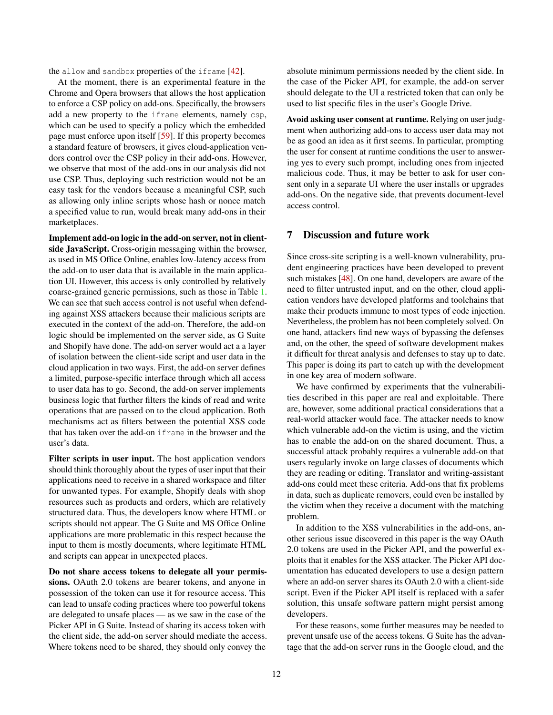the allow and sandbox properties of the iframe [\[42\]](#page-14-12).

At the moment, there is an experimental feature in the Chrome and Opera browsers that allows the host application to enforce a CSP policy on add-ons. Specifically, the browsers add a new property to the iframe elements, namely csp, which can be used to specify a policy which the embedded page must enforce upon itself [\[59\]](#page-14-13). If this property becomes a standard feature of browsers, it gives cloud-application vendors control over the CSP policy in their add-ons. However, we observe that most of the add-ons in our analysis did not use CSP. Thus, deploying such restriction would not be an easy task for the vendors because a meaningful CSP, such as allowing only inline scripts whose hash or nonce match a specified value to run, would break many add-ons in their marketplaces.

Implement add-on logic in the add-on server, not in clientside JavaScript. Cross-origin messaging within the browser, as used in MS Office Online, enables low-latency access from the add-on to user data that is available in the main application UI. However, this access is only controlled by relatively coarse-grained generic permissions, such as those in Table [1.](#page-4-0) We can see that such access control is not useful when defending against XSS attackers because their malicious scripts are executed in the context of the add-on. Therefore, the add-on logic should be implemented on the server side, as G Suite and Shopify have done. The add-on server would act a a layer of isolation between the client-side script and user data in the cloud application in two ways. First, the add-on server defines a limited, purpose-specific interface through which all access to user data has to go. Second, the add-on server implements business logic that further filters the kinds of read and write operations that are passed on to the cloud application. Both mechanisms act as filters between the potential XSS code that has taken over the add-on iframe in the browser and the user's data.

Filter scripts in user input. The host application vendors should think thoroughly about the types of user input that their applications need to receive in a shared workspace and filter for unwanted types. For example, Shopify deals with shop resources such as products and orders, which are relatively structured data. Thus, the developers know where HTML or scripts should not appear. The G Suite and MS Office Online applications are more problematic in this respect because the input to them is mostly documents, where legitimate HTML and scripts can appear in unexpected places.

Do not share access tokens to delegate all your permissions. OAuth 2.0 tokens are bearer tokens, and anyone in possession of the token can use it for resource access. This can lead to unsafe coding practices where too powerful tokens are delegated to unsafe places — as we saw in the case of the Picker API in G Suite. Instead of sharing its access token with the client side, the add-on server should mediate the access. Where tokens need to be shared, they should only convey the

absolute minimum permissions needed by the client side. In the case of the Picker API, for example, the add-on server should delegate to the UI a restricted token that can only be used to list specific files in the user's Google Drive.

Avoid asking user consent at runtime. Relying on user judgment when authorizing add-ons to access user data may not be as good an idea as it first seems. In particular, prompting the user for consent at runtime conditions the user to answering yes to every such prompt, including ones from injected malicious code. Thus, it may be better to ask for user consent only in a separate UI where the user installs or upgrades add-ons. On the negative side, that prevents document-level access control.

## <span id="page-11-0"></span>7 Discussion and future work

Since cross-site scripting is a well-known vulnerability, prudent engineering practices have been developed to prevent such mistakes [\[48\]](#page-14-14). On one hand, developers are aware of the need to filter untrusted input, and on the other, cloud application vendors have developed platforms and toolchains that make their products immune to most types of code injection. Nevertheless, the problem has not been completely solved. On one hand, attackers find new ways of bypassing the defenses and, on the other, the speed of software development makes it difficult for threat analysis and defenses to stay up to date. This paper is doing its part to catch up with the development in one key area of modern software.

We have confirmed by experiments that the vulnerabilities described in this paper are real and exploitable. There are, however, some additional practical considerations that a real-world attacker would face. The attacker needs to know which vulnerable add-on the victim is using, and the victim has to enable the add-on on the shared document. Thus, a successful attack probably requires a vulnerable add-on that users regularly invoke on large classes of documents which they are reading or editing. Translator and writing-assistant add-ons could meet these criteria. Add-ons that fix problems in data, such as duplicate removers, could even be installed by the victim when they receive a document with the matching problem.

In addition to the XSS vulnerabilities in the add-ons, another serious issue discovered in this paper is the way OAuth 2.0 tokens are used in the Picker API, and the powerful exploits that it enables for the XSS attacker. The Picker API documentation has educated developers to use a design pattern where an add-on server shares its OAuth 2.0 with a client-side script. Even if the Picker API itself is replaced with a safer solution, this unsafe software pattern might persist among developers.

For these reasons, some further measures may be needed to prevent unsafe use of the access tokens. G Suite has the advantage that the add-on server runs in the Google cloud, and the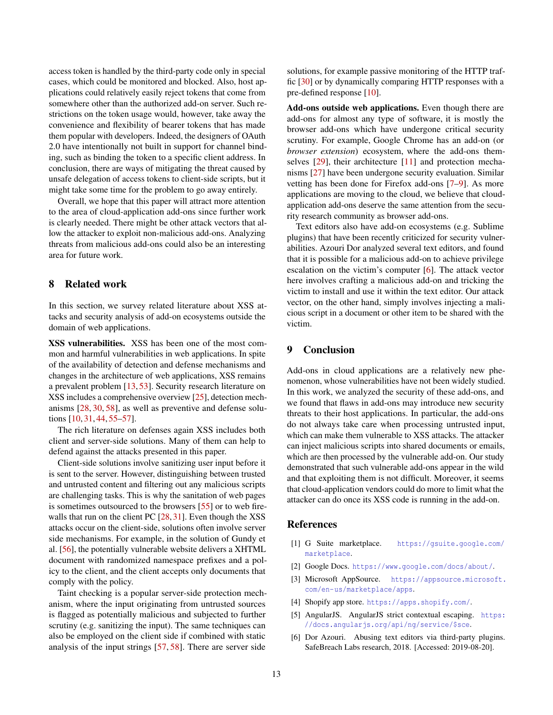access token is handled by the third-party code only in special cases, which could be monitored and blocked. Also, host applications could relatively easily reject tokens that come from somewhere other than the authorized add-on server. Such restrictions on the token usage would, however, take away the convenience and flexibility of bearer tokens that has made them popular with developers. Indeed, the designers of OAuth 2.0 have intentionally not built in support for channel binding, such as binding the token to a specific client address. In conclusion, there are ways of mitigating the threat caused by unsafe delegation of access tokens to client-side scripts, but it might take some time for the problem to go away entirely.

Overall, we hope that this paper will attract more attention to the area of cloud-application add-ons since further work is clearly needed. There might be other attack vectors that allow the attacker to exploit non-malicious add-ons. Analyzing threats from malicious add-ons could also be an interesting area for future work.

## <span id="page-12-4"></span>8 Related work

In this section, we survey related literature about XSS attacks and security analysis of add-on ecosystems outside the domain of web applications.

XSS vulnerabilities. XSS has been one of the most common and harmful vulnerabilities in web applications. In spite of the availability of detection and defense mechanisms and changes in the architecture of web applications, XSS remains a prevalent problem [\[13,](#page-13-22) [53\]](#page-14-2). Security research literature on XSS includes a comprehensive overview [\[25\]](#page-13-23), detection mechanisms [\[28,](#page-13-24) [30,](#page-13-25) [58\]](#page-14-15), as well as preventive and defense solutions [\[10,](#page-13-26) [31,](#page-13-27) [44,](#page-14-16) [55](#page-14-17)[–57\]](#page-14-18).

The rich literature on defenses again XSS includes both client and server-side solutions. Many of them can help to defend against the attacks presented in this paper.

Client-side solutions involve sanitizing user input before it is sent to the server. However, distinguishing between trusted and untrusted content and filtering out any malicious scripts are challenging tasks. This is why the sanitation of web pages is sometimes outsourced to the browsers [\[55\]](#page-14-17) or to web fire-walls that run on the client PC [\[28,](#page-13-24) [31\]](#page-13-27). Even though the XSS attacks occur on the client-side, solutions often involve server side mechanisms. For example, in the solution of Gundy et al. [\[56\]](#page-14-19), the potentially vulnerable website delivers a XHTML document with randomized namespace prefixes and a policy to the client, and the client accepts only documents that comply with the policy.

Taint checking is a popular server-side protection mechanism, where the input originating from untrusted sources is flagged as potentially malicious and subjected to further scrutiny (e.g. sanitizing the input). The same techniques can also be employed on the client side if combined with static analysis of the input strings [\[57,](#page-14-18) [58\]](#page-14-15). There are server side

solutions, for example passive monitoring of the HTTP traffic [\[30\]](#page-13-25) or by dynamically comparing HTTP responses with a pre-defined response [\[10\]](#page-13-26).

Add-ons outside web applications. Even though there are add-ons for almost any type of software, it is mostly the browser add-ons which have undergone critical security scrutiny. For example, Google Chrome has an add-on (or *browser extension*) ecosystem, where the add-ons them-selves [\[29\]](#page-13-28), their architecture [\[11\]](#page-13-29) and protection mechanisms [\[27\]](#page-13-30) have been undergone security evaluation. Similar vetting has been done for Firefox add-ons [\[7](#page-13-31)[–9\]](#page-13-32). As more applications are moving to the cloud, we believe that cloudapplication add-ons deserve the same attention from the security research community as browser add-ons.

Text editors also have add-on ecosystems (e.g. Sublime plugins) that have been recently criticized for security vulnerabilities. Azouri Dor analyzed several text editors, and found that it is possible for a malicious add-on to achieve privilege escalation on the victim's computer [\[6\]](#page-12-7). The attack vector here involves crafting a malicious add-on and tricking the victim to install and use it within the text editor. Our attack vector, on the other hand, simply involves injecting a malicious script in a document or other item to be shared with the victim.

# <span id="page-12-5"></span>9 Conclusion

Add-ons in cloud applications are a relatively new phenomenon, whose vulnerabilities have not been widely studied. In this work, we analyzed the security of these add-ons, and we found that flaws in add-ons may introduce new security threats to their host applications. In particular, the add-ons do not always take care when processing untrusted input, which can make them vulnerable to XSS attacks. The attacker can inject malicious scripts into shared documents or emails, which are then processed by the vulnerable add-on. Our study demonstrated that such vulnerable add-ons appear in the wild and that exploiting them is not difficult. Moreover, it seems that cloud-application vendors could do more to limit what the attacker can do once its XSS code is running in the add-on.

#### References

- <span id="page-12-2"></span>[1] G Suite marketplace. [https://gsuite.google.com/](https://gsuite.google.com/marketplace) [marketplace](https://gsuite.google.com/marketplace).
- <span id="page-12-0"></span>[2] Google Docs. <https://www.google.com/docs/about/>.
- <span id="page-12-1"></span>[3] Microsoft AppSource. [https://appsource.microsoft.](https://appsource.microsoft.com/en-us/marketplace/apps) [com/en-us/marketplace/apps](https://appsource.microsoft.com/en-us/marketplace/apps).
- <span id="page-12-3"></span>[4] Shopify app store. <https://apps.shopify.com/>.
- <span id="page-12-6"></span>[5] AngularJS. AngularJS strict contextual escaping. [https:](https://docs.angularjs.org/api/ng/service/$sce) [//docs.angularjs.org/api/ng/service/\\$sce](https://docs.angularjs.org/api/ng/service/$sce).
- <span id="page-12-7"></span>[6] Dor Azouri. Abusing text editors via third-party plugins. SafeBreach Labs research, 2018. [Accessed: 2019-08-20].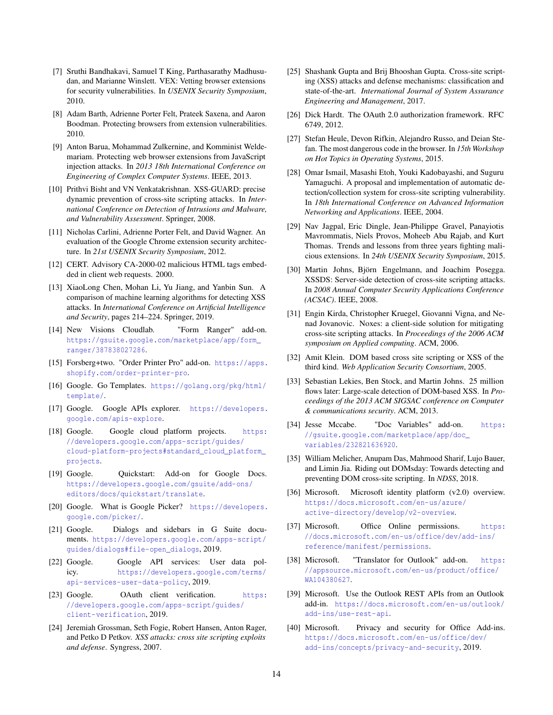- <span id="page-13-31"></span>[7] Sruthi Bandhakavi, Samuel T King, Parthasarathy Madhusudan, and Marianne Winslett. VEX: Vetting browser extensions for security vulnerabilities. In *USENIX Security Symposium*, 2010.
- [8] Adam Barth, Adrienne Porter Felt, Prateek Saxena, and Aaron Boodman. Protecting browsers from extension vulnerabilities. 2010.
- <span id="page-13-32"></span>[9] Anton Barua, Mohammad Zulkernine, and Komminist Weldemariam. Protecting web browser extensions from JavaScript injection attacks. In *2013 18th International Conference on Engineering of Complex Computer Systems*. IEEE, 2013.
- <span id="page-13-26"></span>[10] Prithvi Bisht and VN Venkatakrishnan. XSS-GUARD: precise dynamic prevention of cross-site scripting attacks. In *International Conference on Detection of Intrusions and Malware, and Vulnerability Assessment*. Springer, 2008.
- <span id="page-13-29"></span>[11] Nicholas Carlini, Adrienne Porter Felt, and David Wagner. An evaluation of the Google Chrome extension security architecture. In *21st USENIX Security Symposium*, 2012.
- <span id="page-13-4"></span>[12] CERT. Advisory CA-2000-02 malicious HTML tags embedded in client web requests. 2000.
- <span id="page-13-22"></span>[13] XiaoLong Chen, Mohan Li, Yu Jiang, and Yanbin Sun. A comparison of machine learning algorithms for detecting XSS attacks. In *International Conference on Artificial Intelligence and Security*, pages 214–224. Springer, 2019.
- <span id="page-13-16"></span>[14] New Visions Cloudlab. "Form Ranger" add-on. [https://gsuite.google.com/marketplace/app/form\\_](https://gsuite.google.com/marketplace/app/form_ranger/387838027286) [ranger/387838027286](https://gsuite.google.com/marketplace/app/form_ranger/387838027286).
- <span id="page-13-17"></span>[15] Forsberg+two. "Order Printer Pro" add-on. [https://apps.](https://apps.shopify.com/order-printer-pro) [shopify.com/order-printer-pro](https://apps.shopify.com/order-printer-pro).
- <span id="page-13-21"></span>[16] Google. Go Templates. [https://golang.org/pkg/html/](https://golang.org/pkg/html/template/) [template/](https://golang.org/pkg/html/template/).
- <span id="page-13-10"></span>[17] Google. Google APIs explorer. [https://developers.](https://developers.google.com/apis-explore) [google.com/apis-explore](https://developers.google.com/apis-explore).
- <span id="page-13-11"></span>[18] Google. Google cloud platform projects. [https:](https://developers.google.com/apps-script/guides/cloud-platform-projects#standard_cloud_platform_projects) [//developers.google.com/apps-script/guides/](https://developers.google.com/apps-script/guides/cloud-platform-projects#standard_cloud_platform_projects) [cloud-platform-projects#standard\\_cloud\\_platform\\_](https://developers.google.com/apps-script/guides/cloud-platform-projects#standard_cloud_platform_projects) [projects](https://developers.google.com/apps-script/guides/cloud-platform-projects#standard_cloud_platform_projects).
- <span id="page-13-0"></span>[19] Google. Quickstart: Add-on for Google Docs. [https://developers.google.com/gsuite/add-ons/](https://developers.google.com/gsuite/add-ons/editors/docs/quickstart/translate) [editors/docs/quickstart/translate](https://developers.google.com/gsuite/add-ons/editors/docs/quickstart/translate).
- <span id="page-13-14"></span>[20] Google. What is Google Picker? [https://developers.](https://developers.google.com/picker/) [google.com/picker/](https://developers.google.com/picker/).
- <span id="page-13-15"></span>[21] Google. Dialogs and sidebars in G Suite documents. [https://developers.google.com/apps-script/](https://developers.google.com/apps-script/guides/dialogs#file-open_dialogs) [guides/dialogs#file-open\\_dialogs](https://developers.google.com/apps-script/guides/dialogs#file-open_dialogs), 2019.
- <span id="page-13-13"></span>[22] Google. Google API services: User data policy. [https://developers.google.com/terms/](https://developers.google.com/terms/api-services-user-data-policy) [api-services-user-data-policy](https://developers.google.com/terms/api-services-user-data-policy), 2019.
- <span id="page-13-12"></span>[23] Google. OAuth client verification. [https:](https://developers.google.com/apps-script/guides/client-verification) [//developers.google.com/apps-script/guides/](https://developers.google.com/apps-script/guides/client-verification) [client-verification](https://developers.google.com/apps-script/guides/client-verification), 2019.
- <span id="page-13-1"></span>[24] Jeremiah Grossman, Seth Fogie, Robert Hansen, Anton Rager, and Petko D Petkov. *XSS attacks: cross site scripting exploits and defense*. Syngress, 2007.
- <span id="page-13-23"></span>[25] Shashank Gupta and Brij Bhooshan Gupta. Cross-site scripting (XSS) attacks and defense mechanisms: classification and state-of-the-art. *International Journal of System Assurance Engineering and Management*, 2017.
- <span id="page-13-8"></span>[26] Dick Hardt. The OAuth 2.0 authorization framework. RFC 6749, 2012.
- <span id="page-13-30"></span>[27] Stefan Heule, Devon Rifkin, Alejandro Russo, and Deian Stefan. The most dangerous code in the browser. In *15th Workshop on Hot Topics in Operating Systems*, 2015.
- <span id="page-13-24"></span>[28] Omar Ismail, Masashi Etoh, Youki Kadobayashi, and Suguru Yamaguchi. A proposal and implementation of automatic detection/collection system for cross-site scripting vulnerability. In *18th International Conference on Advanced Information Networking and Applications*. IEEE, 2004.
- <span id="page-13-28"></span>[29] Nav Jagpal, Eric Dingle, Jean-Philippe Gravel, Panayiotis Mavrommatis, Niels Provos, Moheeb Abu Rajab, and Kurt Thomas. Trends and lessons from three years fighting malicious extensions. In *24th USENIX Security Symposium*, 2015.
- <span id="page-13-25"></span>[30] Martin Johns, Björn Engelmann, and Joachim Posegga. XSSDS: Server-side detection of cross-site scripting attacks. In *2008 Annual Computer Security Applications Conference (ACSAC)*. IEEE, 2008.
- <span id="page-13-27"></span>[31] Engin Kirda, Christopher Kruegel, Giovanni Vigna, and Nenad Jovanovic. Noxes: a client-side solution for mitigating cross-site scripting attacks. In *Proceedings of the 2006 ACM symposium on Applied computing*. ACM, 2006.
- <span id="page-13-2"></span>[32] Amit Klein. DOM based cross site scripting or XSS of the third kind. *Web Application Security Consortium*, 2005.
- <span id="page-13-3"></span>[33] Sebastian Lekies, Ben Stock, and Martin Johns. 25 million flows later: Large-scale detection of DOM-based XSS. In *Proceedings of the 2013 ACM SIGSAC conference on Computer & communications security*. ACM, 2013.
- <span id="page-13-19"></span>[34] Jesse Mccabe. "Doc Variables" add-on. [https:](https://gsuite.google.com/marketplace/app/doc_variables/232821636920) [//gsuite.google.com/marketplace/app/doc\\_](https://gsuite.google.com/marketplace/app/doc_variables/232821636920) [variables/232821636920](https://gsuite.google.com/marketplace/app/doc_variables/232821636920).
- <span id="page-13-18"></span>[35] William Melicher, Anupam Das, Mahmood Sharif, Lujo Bauer, and Limin Jia. Riding out DOMsday: Towards detecting and preventing DOM cross-site scripting. In *NDSS*, 2018.
- <span id="page-13-7"></span>[36] Microsoft. Microsoft identity platform (v2.0) overview. [https://docs.microsoft.com/en-us/azure/](https://docs.microsoft.com/en-us/azure/active-directory/develop/v2-overview) [active-directory/develop/v2-overview](https://docs.microsoft.com/en-us/azure/active-directory/develop/v2-overview).
- <span id="page-13-5"></span>[37] Microsoft. Office Online permissions. [https:](https://docs.microsoft.com/en-us/office/dev/add-ins/reference/manifest/permissions) [//docs.microsoft.com/en-us/office/dev/add-ins/](https://docs.microsoft.com/en-us/office/dev/add-ins/reference/manifest/permissions) [reference/manifest/permissions](https://docs.microsoft.com/en-us/office/dev/add-ins/reference/manifest/permissions).
- <span id="page-13-9"></span>[38] Microsoft. "Translator for Outlook" add-on. [https:](https://appsource.microsoft.com/en-us/product/office/WA104380627) [//appsource.microsoft.com/en-us/product/office/](https://appsource.microsoft.com/en-us/product/office/WA104380627) [WA104380627](https://appsource.microsoft.com/en-us/product/office/WA104380627).
- <span id="page-13-6"></span>[39] Microsoft. Use the Outlook REST APIs from an Outlook add-in. [https://docs.microsoft.com/en-us/outlook/](https://docs.microsoft.com/en-us/outlook/add-ins/use-rest-api) [add-ins/use-rest-api](https://docs.microsoft.com/en-us/outlook/add-ins/use-rest-api).
- <span id="page-13-20"></span>[40] Microsoft. Privacy and security for Office Add-ins. [https://docs.microsoft.com/en-us/office/dev/](https://docs.microsoft.com/en-us/office/dev/add-ins/concepts/privacy-and-security) [add-ins/concepts/privacy-and-security](https://docs.microsoft.com/en-us/office/dev/add-ins/concepts/privacy-and-security), 2019.